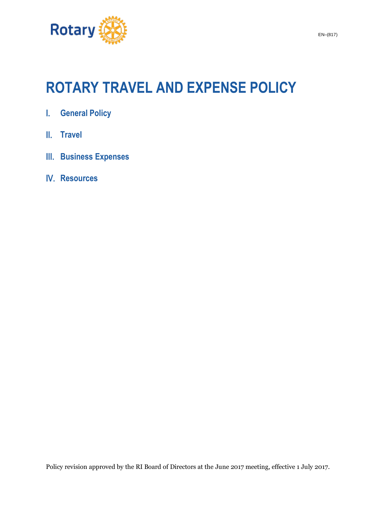

# **ROTARY TRAVEL AND EXPENSE POLICY**

- I. **General Policy**
- II. **[Travel](#page-1-0)**
- III. **[Business Expenses](#page-5-0)**
- IV. **[Resources](#page-8-0)**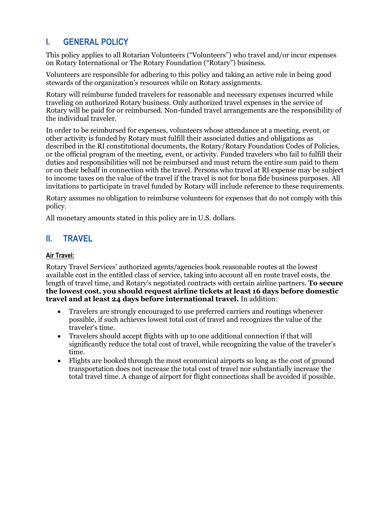# <span id="page-1-0"></span>**I. GENERAL POLICY**

This policy applies to all Rotarian Volunteers ("Volunteers") who travel and/or incur expenses on Rotary International or The Rotary Foundation ("Rotary") business.

Volunteers are responsible for adhering to this policy and taking an active role in being good stewards of the organization's resources while on Rotary assignments.

Rotary will reimburse funded travelers for reasonable and necessary expenses incurred while traveling on authorized Rotary business. Only authorized travel expenses in the service of Rotary will be paid for or reimbursed. Non-funded travel arrangements are the responsibility of the individual traveler.

In order to be reimbursed for expenses, volunteers whose attendance at a meeting, event, or other activity is funded by Rotary must fulfill their associated duties and obligations as described in the RI constitutional documents, the Rotary/Rotary Foundation Codes of Policies, or the official program of the meeting, event, or activity. Funded travelers who fail to fulfill their duties and responsibilities will not be reimbursed and must return the entire sum paid to them or on their behalf in connection with the travel. Persons who travel at RI expense may be subject to income taxes on the value of the travel if the travel is not for bona fide business purposes. All invitations to participate in travel funded by Rotary will include reference to these requirements.

Rotary assumes no obligation to reimburse volunteers for expenses that do not comply with this policy.

All monetary amounts stated in this policy are in U.S. dollars.

### **II. TRAVEL**

#### **Air Travel:**

Rotary Travel Services' authorized agents/agencies book reasonable routes at the lowest available cost in the entitled class of service, taking into account all en route travel costs, the length of travel time, and Rotary's negotiated contracts with certain airline partners. **To secure the lowest cost, you should request airline tickets at least 16 days before domestic travel and at least 24 days before international travel.** In addition:

- Travelers are strongly encouraged to use preferred carriers and routings whenever possible, if such achieves lowest total cost of travel and recognizes the value of the traveler's time.
- Travelers should accept flights with up to one additional connection if that will significantly reduce the total cost of travel, while recognizing the value of the traveler's time.
- Flights are booked through the most economical airports so long as the cost of ground transportation does not increase the total cost of travel nor substantially increase the total travel time. A change of airport for flight connections shall be avoided if possible.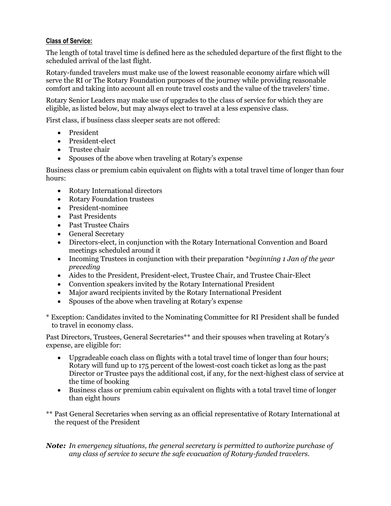#### **Class of Service:**

The length of total travel time is defined here as the scheduled departure of the first flight to the scheduled arrival of the last flight.

Rotary-funded travelers must make use of the lowest reasonable economy airfare which will serve the RI or The Rotary Foundation purposes of the journey while providing reasonable comfort and taking into account all en route travel costs and the value of the travelers' time.

Rotary Senior Leaders may make use of upgrades to the class of service for which they are eligible, as listed below, but may always elect to travel at a less expensive class.

First class, if business class sleeper seats are not offered:

- President
- President-elect
- Trustee chair
- Spouses of the above when traveling at Rotary's expense

Business class or premium cabin equivalent on flights with a total travel time of longer than four hours:

- Rotary International directors
- Rotary Foundation trustees
- President-nominee
- Past Presidents
- Past Trustee Chairs
- General Secretary
- Directors-elect, in conjunction with the Rotary International Convention and Board meetings scheduled around it
- Incoming Trustees in conjunction with their preparation \**beginning 1 Jan of the year preceding*
- Aides to the President, President-elect, Trustee Chair, and Trustee Chair-Elect
- Convention speakers invited by the Rotary International President
- Major award recipients invited by the Rotary International President
- Spouses of the above when traveling at Rotary's expense
- \* Exception: Candidates invited to the Nominating Committee for RI President shall be funded to travel in economy class.

Past Directors, Trustees, General Secretaries\*\* and their spouses when traveling at Rotary's expense, are eligible for:

- Upgradeable coach class on flights with a total travel time of longer than four hours; Rotary will fund up to 175 percent of the lowest-cost coach ticket as long as the past Director or Trustee pays the additional cost, if any, for the next-highest class of service at the time of booking
- Business class or premium cabin equivalent on flights with a total travel time of longer than eight hours
- \*\* Past General Secretaries when serving as an official representative of Rotary International at the request of the President

*Note: In emergency situations, the general secretary is permitted to authorize purchase of any class of service to secure the safe evacuation of Rotary-funded travelers.*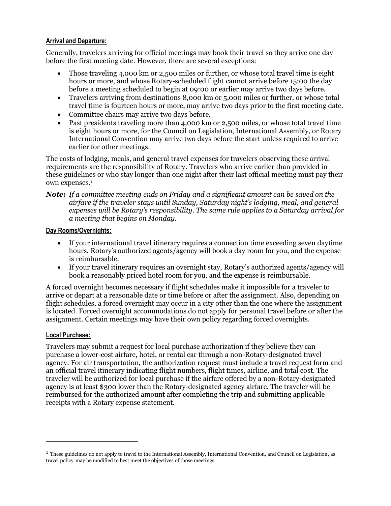#### **Arrival and Departure:**

Generally, travelers arriving for official meetings may book their travel so they arrive one day before the first meeting date. However, there are several exceptions:

- Those traveling 4,000 km or 2,500 miles or further, or whose total travel time is eight hours or more, and whose Rotary-scheduled flight cannot arrive before 15:00 the day before a meeting scheduled to begin at 09:00 or earlier may arrive two days before.
- Travelers arriving from destinations 8,000 km or 5,000 miles or further, or whose total travel time is fourteen hours or more, may arrive two days prior to the first meeting date.
- Committee chairs may arrive two days before.
- Past presidents traveling more than 4,000 km or 2,500 miles, or whose total travel time is eight hours or more, for the Council on Legislation, International Assembly, or Rotary International Convention may arrive two days before the start unless required to arrive earlier for other meetings.

The costs of lodging, meals, and general travel expenses for travelers observing these arrival requirements are the responsibility of Rotary. Travelers who arrive earlier than provided in these guidelines or who stay longer than one night after their last official meeting must pay their own expenses.<sup>1</sup>

#### *Note: If a committee meeting ends on Friday and a significant amount can be saved on the airfare if the traveler stays until Sunday, Saturday night's lodging, meal, and general expenses will be Rotary's responsibility. The same rule applies to a Saturday arrival for a meeting that begins on Monday.*

#### **Day Rooms/Overnights:**

- If your international travel itinerary requires a connection time exceeding seven daytime hours, Rotary's authorized agents/agency will book a day room for you, and the expense is reimbursable.
- If your travel itinerary requires an overnight stay, Rotary's authorized agents/agency will book a reasonably priced hotel room for you, and the expense is reimbursable.

A forced overnight becomes necessary if flight schedules make it impossible for a traveler to arrive or depart at a reasonable date or time before or after the assignment. Also, depending on flight schedules, a forced overnight may occur in a city other than the one where the assignment is located. Forced overnight accommodations do not apply for personal travel before or after the assignment. Certain meetings may have their own policy regarding forced overnights.

#### **Local Purchase:**

Travelers may submit a request for local purchase authorization if they believe they can purchase a lower-cost airfare, hotel, or rental car through a non-Rotary-designated travel agency. For air transportation, the authorization request must include a travel request form and an official travel itinerary indicating flight numbers, flight times, airline, and total cost. The traveler will be authorized for local purchase if the airfare offered by a non-Rotary-designated agency is at least \$300 lower than the Rotary-designated agency airfare. The traveler will be reimbursed for the authorized amount after completing the trip and submitting applicable receipts with a Rotary expense statement.

 $<sup>1</sup>$  These guidelines do not apply to travel to the International Assembly, International Convention, and Council on Legislation, as</sup> travel policy may be modified to best meet the objectives of those meetings.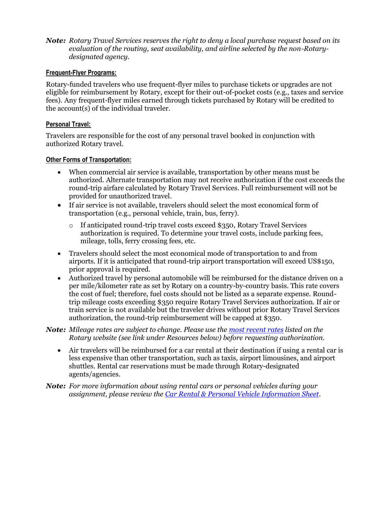*Note: Rotary Travel Services reserves the right to deny a local purchase request based on its evaluation of the routing, seat availability, and airline selected by the non-Rotarydesignated agency.* 

#### **Frequent-Flyer Programs:**

Rotary-funded travelers who use frequent-flyer miles to purchase tickets or upgrades are not eligible for reimbursement by Rotary, except for their out-of-pocket costs (e.g., taxes and service fees). Any frequent-flyer miles earned through tickets purchased by Rotary will be credited to the account(s) of the individual traveler.

#### **Personal Travel:**

Travelers are responsible for the cost of any personal travel booked in conjunction with authorized Rotary travel.

#### **Other Forms of Transportation:**

- When commercial air service is available, transportation by other means must be authorized. Alternate transportation may not receive authorization if the cost exceeds the round-trip airfare calculated by Rotary Travel Services. Full reimbursement will not be provided for unauthorized travel.
- If air service is not available, travelers should select the most economical form of transportation (e.g., personal vehicle, train, bus, ferry).
	- o If anticipated round-trip travel costs exceed \$350, Rotary Travel Services authorization is required. To determine your travel costs, include parking fees, mileage, tolls, ferry crossing fees, etc.
- Travelers should select the most economical mode of transportation to and from airports. If it is anticipated that round-trip airport transportation will exceed US\$150, prior approval is required.
- Authorized travel by personal automobile will be reimbursed for the distance driven on a per mile/kilometer rate as set by Rotary on a country-by-country basis. This rate covers the cost of fuel; therefore, fuel costs should not be listed as a separate expense. Roundtrip mileage costs exceeding \$350 require Rotary Travel Services authorization. If air or train service is not available but the traveler drives without prior Rotary Travel Services authorization, the round-trip reimbursement will be capped at \$350.

#### *Note: Mileage rates are subject to change. Please use the [most recent rates](https://www.rotary.org/myrotary/en/document/7321) listed on the Rotary website (see link under Resources below) before requesting authorization.*

- Air travelers will be reimbursed for a car rental at their destination if using a rental car is less expensive than other transportation, such as taxis, airport limousines, and airport shuttles. Rental car reservations must be made through Rotary-designated agents/agencies.
- *Note: For more information about using rental cars or personal vehicles during your assignment, please review the [Car Rental & Personal Vehicle Information Sheet.](https://www.rotary.org/myrotary/en/document/rits-car-rental-and-personal-vehicle-information)*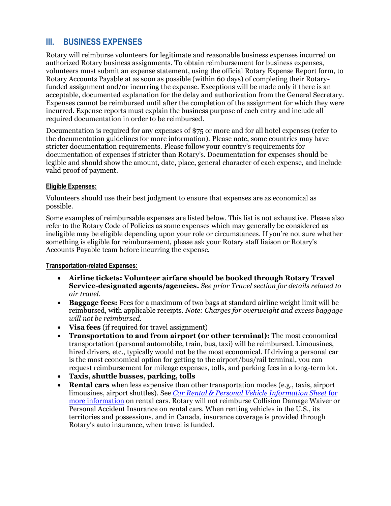## <span id="page-5-0"></span>**III. BUSINESS EXPENSES**

Rotary will reimburse volunteers for legitimate and reasonable business expenses incurred on authorized Rotary business assignments. To obtain reimbursement for business expenses, volunteers must submit an expense statement, using the official Rotary Expense Report form, to Rotary Accounts Payable at as soon as possible (within 60 days) of completing their Rotaryfunded assignment and/or incurring the expense. Exceptions will be made only if there is an acceptable, documented explanation for the delay and authorization from the General Secretary. Expenses cannot be reimbursed until after the completion of the assignment for which they were incurred. Expense reports must explain the business purpose of each entry and include all required documentation in order to be reimbursed.

Documentation is required for any expenses of \$75 or more and for all hotel expenses (refer to the documentation guidelines for more information). Please note, some countries may have stricter documentation requirements. Please follow your country's requirements for documentation of expenses if stricter than Rotary's. Documentation for expenses should be legible and should show the amount, date, place, general character of each expense, and include valid proof of payment.

#### **Eligible Expenses:**

Volunteers should use their best judgment to ensure that expenses are as economical as possible.

Some examples of reimbursable expenses are listed below. This list is not exhaustive. Please also refer to the Rotary Code of Policies as some expenses which may generally be considered as ineligible may be eligible depending upon your role or circumstances. If you're not sure whether something is eligible for reimbursement, please ask your Rotary staff liaison or Rotary's Accounts Payable team before incurring the expense.

#### **Transportation-related Expenses:**

- **Airline tickets: Volunteer airfare should be booked through Rotary Travel Service-designated agents/agencies.** *See prior Travel section for details related to air travel.*
- **Baggage fees:** Fees for a maximum of two bags at standard airline weight limit will be reimbursed, with applicable receipts. *Note: Charges for overweight and excess baggage will not be reimbursed.*
- **Visa fees** (if required for travel assignment)
- **Transportation to and from airport (or other terminal):** The most economical transportation (personal automobile, train, bus, taxi) will be reimbursed. Limousines, hired drivers, etc., typically would not be the most economical. If driving a personal car is the most economical option for getting to the airport/bus/rail terminal, you can request reimbursement for mileage expenses, tolls, and parking fees in a long-term lot.
- **Taxis, shuttle busses, parking, tolls**
- **Rental cars** when less expensive than other transportation modes (e.g., taxis, airport limousines, airport shuttles). See *[Car Rental & Personal Vehicle Information Sheet](https://www.rotary.org/myrotary/en/document/rits-car-rental-and-personal-vehicle-information)* for more information on rental cars. Rotary will not reimburse Collision Damage Waiver or Personal Accident Insurance on rental cars. When renting vehicles in the U.S., its territories and possessions, and in Canada, insurance coverage is provided through Rotary's auto insurance, when travel is funded.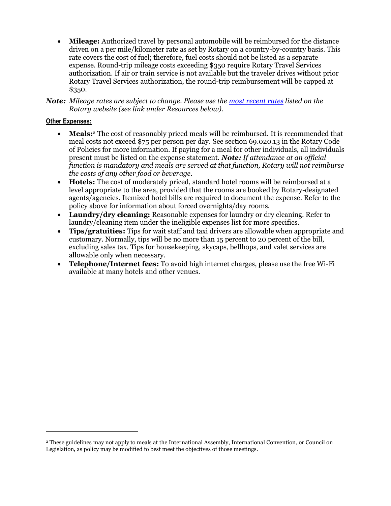- **Mileage:** Authorized travel by personal automobile will be reimbursed for the distance driven on a per mile/kilometer rate as set by Rotary on a country-by-country basis. This rate covers the cost of fuel; therefore, fuel costs should not be listed as a separate expense. Round-trip mileage costs exceeding \$350 require Rotary Travel Services authorization. If air or train service is not available but the traveler drives without prior Rotary Travel Services authorization, the round-trip reimbursement will be capped at \$350.
- *Note: Mileage rates are subject to change. Please use the [most recent rates](https://www.rotary.org/myrotary/en/document/7321) listed on the Rotary website (see link under Resources below).*

#### **Other Expenses:**

 $\overline{a}$ 

- Meals:<sup>2</sup> The cost of reasonably priced meals will be reimbursed. It is recommended that meal costs not exceed \$75 per person per day. See section 69.020.13 in the Rotary Code of Policies for more information. If paying for a meal for other individuals, all individuals present must be listed on the expense statement. *Note: If attendance at an official function is mandatory and meals are served at that function, Rotary will not reimburse the costs of any other food or beverage.*
- **Hotels:** The cost of moderately priced, standard hotel rooms will be reimbursed at a level appropriate to the area, provided that the rooms are booked by Rotary-designated agents/agencies. Itemized hotel bills are required to document the expense. Refer to the policy above for information about forced overnights/day rooms.
- **Laundry/dry cleaning:** Reasonable expenses for laundry or dry cleaning. Refer to laundry/cleaning item under the ineligible expenses list for more specifics.
- **Tips/gratuities:** Tips for wait staff and taxi drivers are allowable when appropriate and customary. Normally, tips will be no more than 15 percent to 20 percent of the bill, excluding sales tax. Tips for housekeeping, skycaps, bellhops, and valet services are allowable only when necessary.
- **Telephone/Internet fees:** To avoid high internet charges, please use the free Wi-Fi available at many hotels and other venues.

<sup>2</sup> These guidelines may not apply to meals at the International Assembly, International Convention, or Council on Legislation, as policy may be modified to best meet the objectives of those meetings.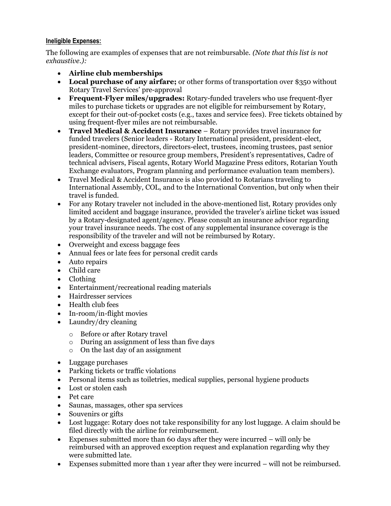#### **Ineligible Expenses:**

The following are examples of expenses that are not reimbursable. *(Note that this list is not exhaustive.):*

- **Airline club memberships**
- **Local purchase of any airfare;** or other forms of transportation over \$350 without Rotary Travel Services' pre-approval
- **Frequent-Flyer miles/upgrades:** Rotary-funded travelers who use frequent-flyer miles to purchase tickets or upgrades are not eligible for reimbursement by Rotary, except for their out-of-pocket costs (e.g., taxes and service fees). Free tickets obtained by using frequent-flyer miles are not reimbursable.
- **Travel Medical & Accident Insurance** Rotary provides travel insurance for funded travelers (Senior leaders - Rotary International president, president-elect, president-nominee, directors, directors-elect, trustees, incoming trustees, past senior leaders, Committee or resource group members, President's representatives, Cadre of technical advisers, Fiscal agents, Rotary World Magazine Press editors, Rotarian Youth Exchange evaluators, Program planning and performance evaluation team members).
- Travel Medical & Accident Insurance is also provided to Rotarians traveling to International Assembly, COL, and to the International Convention, but only when their travel is funded.
- For any Rotary traveler not included in the above-mentioned list, Rotary provides only limited accident and baggage insurance, provided the traveler's airline ticket was issued by a Rotary-designated agent/agency. Please consult an insurance advisor regarding your travel insurance needs. The cost of any supplemental insurance coverage is the responsibility of the traveler and will not be reimbursed by Rotary.
- Overweight and excess baggage fees
- Annual fees or late fees for personal credit cards
- Auto repairs
- Child care
- Clothing
- Entertainment/recreational reading materials
- Hairdresser services
- Health club fees
- In-room/in-flight movies
- Laundry/dry cleaning
	- o Before or after Rotary travel
	- o During an assignment of less than five days
	- o On the last day of an assignment
- Luggage purchases
- Parking tickets or traffic violations
- Personal items such as toiletries, medical supplies, personal hygiene products
- Lost or stolen cash
- Pet care
- Saunas, massages, other spa services
- Souvenirs or gifts
- Lost luggage: Rotary does not take responsibility for any lost luggage. A claim should be filed directly with the airline for reimbursement.
- Expenses submitted more than 60 days after they were incurred will only be reimbursed with an approved exception request and explanation regarding why they were submitted late.
- Expenses submitted more than 1 year after they were incurred will not be reimbursed.